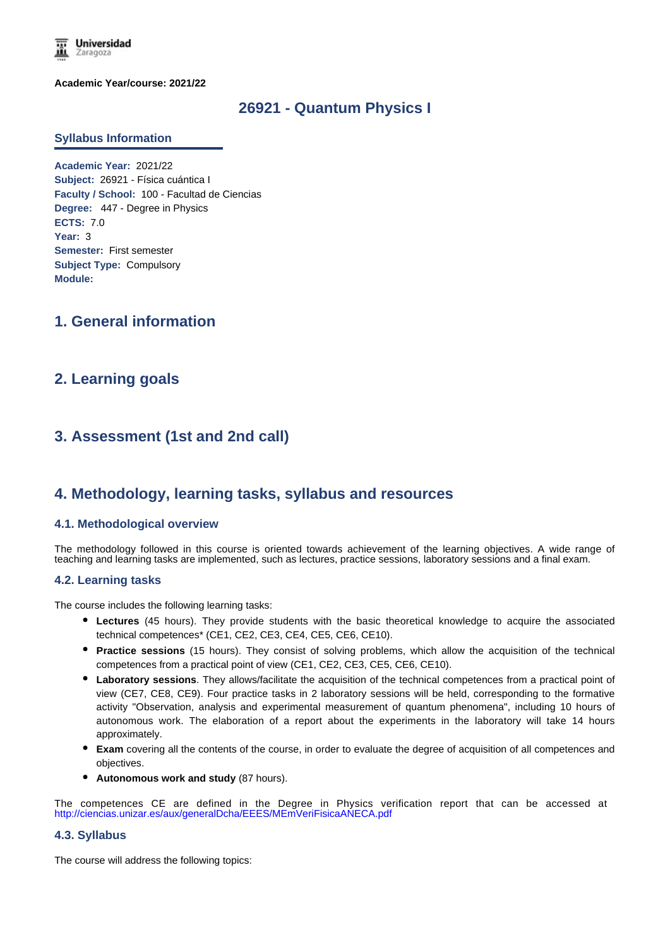**Universidad** Zaragoza

**Academic Year/course: 2021/22**

### **26921 - Quantum Physics I**

#### **Syllabus Information**

**Academic Year:** 2021/22 **Subject:** 26921 - Física cuántica I **Faculty / School:** 100 - Facultad de Ciencias **Degree:** 447 - Degree in Physics **ECTS:** 7.0 **Year:** 3 **Semester:** First semester **Subject Type:** Compulsory **Module:**

## **1. General information**

## **2. Learning goals**

# **3. Assessment (1st and 2nd call)**

### **4. Methodology, learning tasks, syllabus and resources**

### **4.1. Methodological overview**

The methodology followed in this course is oriented towards achievement of the learning objectives. A wide range of teaching and learning tasks are implemented, such as lectures, practice sessions, laboratory sessions and a final exam.

### **4.2. Learning tasks**

The course includes the following learning tasks:

- **Lectures** (45 hours). They provide students with the basic theoretical knowledge to acquire the associated technical competences\* (CE1, CE2, CE3, CE4, CE5, CE6, CE10).
- **Practice sessions** (15 hours). They consist of solving problems, which allow the acquisition of the technical competences from a practical point of view (CE1, CE2, CE3, CE5, CE6, CE10).
- **Laboratory sessions**. They allows/facilitate the acquisition of the technical competences from a practical point of view (CE7, CE8, CE9). Four practice tasks in 2 laboratory sessions will be held, corresponding to the formative activity "Observation, analysis and experimental measurement of quantum phenomena", including 10 hours of autonomous work. The elaboration of a report about the experiments in the laboratory will take 14 hours approximately.
- **Exam** covering all the contents of the course, in order to evaluate the degree of acquisition of all competences and objectives.
- **Autonomous work and study** (87 hours).

The competences CE are defined in the Degree in Physics verification report that can be accessed at http://ciencias.unizar.es/aux/generalDcha/EEES/MEmVeriFisicaANECA.pdf

#### **4.3. Syllabus**

The course will address the following topics: